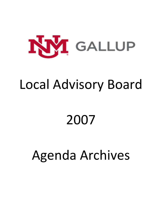

# Local Advisory Board

# 2007

# Agenda Archives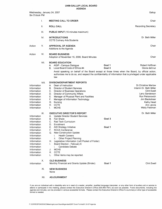|                                                                                                                                                                         | AGENDA                                                                                                                                                                                                                                                                                                                                                                                                            |                                                                                                                                                                                                                                                                      |
|-------------------------------------------------------------------------------------------------------------------------------------------------------------------------|-------------------------------------------------------------------------------------------------------------------------------------------------------------------------------------------------------------------------------------------------------------------------------------------------------------------------------------------------------------------------------------------------------------------|----------------------------------------------------------------------------------------------------------------------------------------------------------------------------------------------------------------------------------------------------------------------|
| Wednesday, January 24, 2007<br>Six O'clock PM                                                                                                                           |                                                                                                                                                                                                                                                                                                                                                                                                                   | Gallup                                                                                                                                                                                                                                                               |
| I.                                                                                                                                                                      | <b>MEETING CALL TO ORDER</b>                                                                                                                                                                                                                                                                                                                                                                                      | Chair                                                                                                                                                                                                                                                                |
| II.                                                                                                                                                                     | <b>ROLL CALL</b>                                                                                                                                                                                                                                                                                                                                                                                                  | <b>Recording Secretary</b>                                                                                                                                                                                                                                           |
| III.                                                                                                                                                                    | <b>PUBLIC INPUT</b> (15 minutes maximum)                                                                                                                                                                                                                                                                                                                                                                          |                                                                                                                                                                                                                                                                      |
| IV.                                                                                                                                                                     | <b>INTRODUCTIONS</b><br><b>CCTE Culinary Arts Students</b>                                                                                                                                                                                                                                                                                                                                                        | Dr. Beth Miller                                                                                                                                                                                                                                                      |
| Action<br>V.                                                                                                                                                            | <b>APPROVAL OF AGENDA</b><br>Additions to the Agenda                                                                                                                                                                                                                                                                                                                                                              | Chair                                                                                                                                                                                                                                                                |
| VI.<br>Action                                                                                                                                                           | <b>BOARD BUSINESS</b><br>Adoption of November 15, 2006, Board Minutes                                                                                                                                                                                                                                                                                                                                             | Chair                                                                                                                                                                                                                                                                |
| VII.                                                                                                                                                                    | <b>BOARD EDUCATION</b><br><b>AQIP - Campus Dialogue</b><br>А.<br>Local Board Code of Ethics #4<br>В.<br>law                                                                                                                                                                                                                                                                                                       | Goal 1<br>Robert Hoffman<br>Goal 3<br>Gloria deCruz<br>Avoid speaking on behalf of the Board except at those times when the Board, by official action,<br>authorizes me to do so, and respect the confidentiality of information that is privileged under applicable |
| VIII.<br>Information<br>Information<br>Information<br>Information<br>Information<br>Information<br>Information<br>Information<br>Information                            | <b>DIVISION/DEPARTMENT REPORTS</b><br>A.<br>Dean of Instruction<br>Director of Student Services<br>В.<br>C.<br><b>Director of Business Operations</b><br><b>Director of Community Affairs</b><br>D.<br>Е.<br>Manager of Physical Plant and Facilities<br>F.<br>Manager of Information Technology<br>G.<br><b>Nursing</b><br><b>CCTE</b><br>Н.<br><b>MCHS</b><br>I.                                                | <b>Dr.Christine Marlow</b><br>Interim Dr. Beth Miller<br><b>Clint Ewell</b><br>Larry Sanderson<br>Ron Petranovich<br><b>Jim Blackshear</b><br><b>Kathy Head</b><br>Ann Jarvis<br><b>Wally Feldman</b>                                                                |
| IX.<br>Information<br>Information<br>Information<br>Information                                                                                                         | <b>EXECUTIVE DIRECTOR'S REPORT</b><br><b>Update Director Student Services</b><br>А.<br><b>Fair Share</b><br>В.<br>$C_{\cdot}$<br><b>Rad Tech Curriculum</b><br>Enrollment<br>D.                                                                                                                                                                                                                                   | Dr. Beth Miller<br>Goal 3                                                                                                                                                                                                                                            |
| Information<br>Information<br>Information<br>Information<br>Information<br>Information<br>Information<br>Information<br>Information<br>Information<br>Information<br>Х. | <b>AtD Strategy Initiative</b><br>Е.<br>F.<br><b>RCCA Conference</b><br>G. New Construction Update<br><b>Health Careers</b><br>i.<br><b>Other Project Planning</b><br>ii.<br>Legislative Information (Left Pocket of Folder)<br>Η.<br>Board Election - February 6<br>L.<br><b>Candidate Debate</b><br>i.<br><b>MCHS</b><br>J.<br><b>CCTE</b><br>K. .<br>Other items may be reported.<br>L.<br><b>OLD BUSINESS</b> | Goal 1                                                                                                                                                                                                                                                               |
| Information<br>XI.                                                                                                                                                      | Monthly Financial and Grants Update (Binder)<br><b>NEW BUSINESS</b><br>None                                                                                                                                                                                                                                                                                                                                       | Clint Ewell<br>Goal 1                                                                                                                                                                                                                                                |

**XII. ADJOURNMENT** 

**If you are an individual with a disability who is in need of a reader, amplifier, qualified language interpreter, or any other form of auxiliary aid or service to attend or participate in the meeting, please contact the Executive Director's Office (505-863-7501) as soon as possible. Public documents, including the agenda and minutes, can be provided in various accessible formats. Please contact the Executive Director's Office if a summary or other type of accessible format is needed.**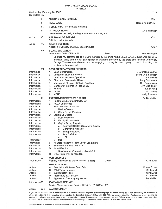# **UNM-GALLUP LOCAL BOARD**

|                            |       | AGENDA                                                                                                                                                                                                                           |                                          |
|----------------------------|-------|----------------------------------------------------------------------------------------------------------------------------------------------------------------------------------------------------------------------------------|------------------------------------------|
| Six O'clock PM             |       | Wednesday, February 28, 2007                                                                                                                                                                                                     | Zuni                                     |
|                            | I.    | <b>MEETING CALL TO ORDER</b>                                                                                                                                                                                                     | Chair                                    |
|                            | ΙΙ.   | <b>ROLL CALL</b>                                                                                                                                                                                                                 | <b>Recording Secretary</b>               |
|                            | III.  | <b>PUBLIC INPUT</b> (15 minutes maximum)                                                                                                                                                                                         |                                          |
|                            | IV.   |                                                                                                                                                                                                                                  |                                          |
|                            |       | <b>INTRODUCTIONS</b><br>Duane Brown, Modrall, Sperling, Roehl, Harris & Sisk, P.A.                                                                                                                                               | Dr. Beth Miller                          |
| Action                     | V.    | <b>APPROVAL OF AGENDA</b>                                                                                                                                                                                                        | Chair                                    |
|                            |       | Additions to the Agenda                                                                                                                                                                                                          |                                          |
| Action                     | VI.   | <b>BOARD BUSINESS</b>                                                                                                                                                                                                            |                                          |
|                            |       | Adoption of January 24, 2006, Board Minutes                                                                                                                                                                                      | Chair                                    |
|                            | VII.  | <b>BOARD EDUCATION</b><br>Local Board Code of Ethics #5<br>Goal 3                                                                                                                                                                | <b>Brett Newberry</b>                    |
|                            |       | Upgrade my performance as a Board member by informing myself about current educational issues by                                                                                                                                 |                                          |
|                            |       | individual study and through participation in programs provided by the State and National Community<br>College Trustees Associations, and by engaging in a regular and ongoing process of training and<br>continuous improvement |                                          |
|                            | VIII. | <b>DIVISION/DEPARTMENT REPORTS</b>                                                                                                                                                                                               |                                          |
| Information                |       | Dean of Instruction<br>А.                                                                                                                                                                                                        | Dr. Christine Marlow                     |
| Information<br>Information |       | В.<br>Director of Student Services<br>C.<br>Director of Business Operations                                                                                                                                                      | Interim Dr. Beth Miller<br>Clint Ewell   |
| Information                |       | Director of Community Affairs<br>D.                                                                                                                                                                                              | Larry Sanderson                          |
| Information                |       | Е.<br>Manager of Physical Plant and Facilities                                                                                                                                                                                   | Ron Petranovich                          |
| Information                |       | F.<br>Manager of Information Technology                                                                                                                                                                                          | Jim Blackshear                           |
| Information                |       | G.<br>Nursing                                                                                                                                                                                                                    | Kathy Head                               |
| Information<br>Information |       | Η.<br><b>CCTE</b><br><b>MCHS</b><br>I.                                                                                                                                                                                           | Ann Jarvis<br><b>Wally Feldman</b>       |
|                            | IX.   | <b>EXECUTIVE DIRECTOR'S REPORT</b>                                                                                                                                                                                               | Dr. Beth Miller                          |
| Information                |       | <b>Update Director Student Services</b><br>А.                                                                                                                                                                                    |                                          |
| Information                |       | <b>RCCA Conference</b><br>В.                                                                                                                                                                                                     |                                          |
| Information                |       | C.<br><b>New Construction Update</b>                                                                                                                                                                                             |                                          |
| Information<br>Information |       | <b>Health Careers</b><br>i.<br>ii.<br><b>Other Project Planning</b>                                                                                                                                                              |                                          |
| <b>Information</b>         |       | D. Legislative Update                                                                                                                                                                                                            |                                          |
| Information                |       | <b>Dual Enrollment</b><br>i.                                                                                                                                                                                                     |                                          |
| Information                |       | ii.<br><b>Faculty Endowments</b>                                                                                                                                                                                                 |                                          |
| Information                |       | iii.<br><b>Capital Outlay Projects</b>                                                                                                                                                                                           |                                          |
| Information<br>Information |       | a. Technical Center/ Classroom Building<br><b>Ceremonial Archives</b><br>b.                                                                                                                                                      |                                          |
| Information                |       | Entrepreneurship<br>C.                                                                                                                                                                                                           |                                          |
| Information                |       | Zuni CAD Lab<br>d.                                                                                                                                                                                                               |                                          |
|                            |       | HB <sub>2</sub><br>е.                                                                                                                                                                                                            |                                          |
| Information                |       | MIT<br>iv.                                                                                                                                                                                                                       |                                          |
| Information<br>Information |       | All State Academic Team Day at Legislature<br>Е.<br>F.<br>Enrollment Summit - March 9                                                                                                                                            |                                          |
| Information                |       | <b>Board Election</b><br>G.                                                                                                                                                                                                      |                                          |
| Information                |       | New Member Orientation - March 23<br>İ.                                                                                                                                                                                          |                                          |
| Information                |       | Other items may be reported.<br>Η.                                                                                                                                                                                               |                                          |
| Information                | Х.    | <b>OLD BUSINESS</b><br>Goal 1<br>Monthly Financial and Grants Update (Binder)                                                                                                                                                    | <b>Clint Ewell</b>                       |
|                            | XI.   | <b>NEW BUSINESS</b>                                                                                                                                                                                                              |                                          |
| Action                     |       | Resolution - Notice of Bond Sale<br>Α.                                                                                                                                                                                           | Duane Brown                              |
| Action<br>Action           |       | 2008 Tuition Increase<br>В.<br>C.<br>2008 Student Fees                                                                                                                                                                           | <b>Clint Ewell</b><br><b>Clint Ewell</b> |
| Action                     |       | Preliminary 2008 Budget<br>D.                                                                                                                                                                                                    | <b>Clint Ewell</b>                       |
| Action                     |       | Approval of Operating Agreement<br>Е.                                                                                                                                                                                            | <b>Beth Miller</b>                       |
| Information XII.           |       | <b>EXECUTIVE SESSION</b><br>Limited Personnel Issue Section 10-15-1-H.(2) NMSA 1978                                                                                                                                              |                                          |
| Action                     | XIII. | <b>ADJOURNMENT</b>                                                                                                                                                                                                               |                                          |

If you are an individual with a disability who is in need of a reader, amplifier, qualified language interpreter, or any other form of auxiliary aid or service to attend or participate in the meeting, please contact the Ex agenda and minutes, can be provided in various accessible formats. Please contact the Executive Director's Office if a summary or other type of accessible format is needed. Executive Session pursuant to NM Open Meeting Act; Personnel Matter, Section 10-15-1-H.(2) NMSA 1978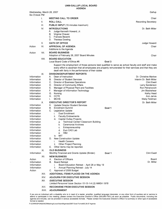#### **UNM-GALLUP LOCAL BOARD AGENDA**

| Wednesday, March 28, 2007<br>Six O'clock PM |       |                                                                                                                                                                                                                                                                                                                  | Gallup                                   |
|---------------------------------------------|-------|------------------------------------------------------------------------------------------------------------------------------------------------------------------------------------------------------------------------------------------------------------------------------------------------------------------|------------------------------------------|
|                                             | I.    | <b>MEETING CALL TO ORDER</b>                                                                                                                                                                                                                                                                                     | Chair                                    |
|                                             | 11.   | <b>ROLL CALL</b>                                                                                                                                                                                                                                                                                                 | <b>Recording Secretary</b>               |
|                                             | III.  | <b>PUBLIC INPUT</b> (15 minutes maximum)                                                                                                                                                                                                                                                                         |                                          |
|                                             | IV.   | <b>INTRODUCTIONS</b><br>Judge Kenneth Howard, Jr.<br>А.<br>Virginia Chavez<br>В.<br>C.<br><b>Frances Becenti</b><br><b>Theresa Dowling</b><br>D.                                                                                                                                                                 | Dr. Beth Miller                          |
|                                             | V.    | <b>OATH OF OFFICE</b>                                                                                                                                                                                                                                                                                            | Judge Howard                             |
| Action                                      | VI.   | <b>APPROVAL OF AGENDA</b><br>Additions to the Agenda                                                                                                                                                                                                                                                             | Chair                                    |
| Action                                      | VII.  | <b>BOARD BUSINESS</b><br>Adoption of February 28, 2007 Board Minutes                                                                                                                                                                                                                                             | Chair                                    |
|                                             | VIII. | <b>BOARD EDUCATION</b><br>Local Board Code of Ethics #6<br>Goal 3                                                                                                                                                                                                                                                |                                          |
|                                             | IX.   | Support the employment of those persons best qualified to serve as school faculty and staff and make<br>every effort to ascertain that all employees are properly remunerated for their services and that they are<br>dealt with fairly in the performance of their duties<br><b>DIVISION/DEPARTMENT REPORTS</b> |                                          |
| Information                                 |       | Dean of Instruction<br>А.                                                                                                                                                                                                                                                                                        | Dr. Christine Marlow                     |
| Information                                 |       | В.<br>Director of Student Services                                                                                                                                                                                                                                                                               | Interim Dr. Beth Miller                  |
| Information                                 |       | C. Director of Business Operations                                                                                                                                                                                                                                                                               | <b>Clint Ewell</b>                       |
| Information                                 |       | <b>Director of Community Affairs</b><br>D.                                                                                                                                                                                                                                                                       | Larry Sanderson                          |
| Information<br>Information                  |       | Е.<br>Manager of Physical Plant and Facilities<br>F.<br>Manager of Information Technology                                                                                                                                                                                                                        | <b>Ron Petranovich</b><br>Jim Blackshear |
| Information                                 |       | G.<br><b>Nursing</b>                                                                                                                                                                                                                                                                                             | <b>Kathy Head</b>                        |
| Information                                 |       | <b>CCTE</b><br>Н.                                                                                                                                                                                                                                                                                                | Ann Jarvis                               |
| Information                                 |       | <b>MCHS</b><br>L.                                                                                                                                                                                                                                                                                                | <b>Wally Feldman</b>                     |
|                                             | Х.    | <b>EXECUTIVE DIRECTOR'S REPORT</b>                                                                                                                                                                                                                                                                               | Dr. Beth Miller                          |
| Information                                 |       | А.<br><b>Update Director Student Services</b>                                                                                                                                                                                                                                                                    |                                          |
| Information                                 |       | <b>Enrollment Summit</b><br>Goal 1<br>В.                                                                                                                                                                                                                                                                         |                                          |
| Information                                 |       | C.<br><b>Legislative Update</b>                                                                                                                                                                                                                                                                                  |                                          |
| Information                                 |       | i.<br><b>Dual Enrollment</b>                                                                                                                                                                                                                                                                                     |                                          |
| Information                                 |       | <b>Faculty Endowments</b><br>ii.                                                                                                                                                                                                                                                                                 |                                          |
| Information                                 |       | <b>Capital Outlay Projects</b><br>iii.<br><b>Technical Center/ Classroom Building</b>                                                                                                                                                                                                                            |                                          |
| Information<br>Information                  |       | a.<br><b>Ceremonial Archives</b><br>b.                                                                                                                                                                                                                                                                           |                                          |
| Information                                 |       | Entrepreneurship<br>C.                                                                                                                                                                                                                                                                                           |                                          |
| Information                                 |       | Zuni CAD Lab<br>d.                                                                                                                                                                                                                                                                                               |                                          |
| Information                                 |       | HB <sub>2</sub><br>e.                                                                                                                                                                                                                                                                                            |                                          |
| Information                                 |       | <b>MIT</b><br>iv.                                                                                                                                                                                                                                                                                                |                                          |
| Information                                 |       | D. New Construction Update                                                                                                                                                                                                                                                                                       |                                          |
| Information                                 |       | <b>Health Careers</b><br>i.                                                                                                                                                                                                                                                                                      |                                          |
| Information                                 |       | ii.<br><b>Other Project Planning</b>                                                                                                                                                                                                                                                                             |                                          |
| Information                                 |       | Other items may be reported.<br>Е.                                                                                                                                                                                                                                                                               |                                          |
|                                             | XI.   | <b>OLD BUSINESS</b>                                                                                                                                                                                                                                                                                              |                                          |
| Information                                 |       | Monthly Financial and Grants Update (Binder)<br>Goal 1                                                                                                                                                                                                                                                           | <b>Clint Ewell</b>                       |
|                                             | XII.  | <b>NEW BUSINESS</b>                                                                                                                                                                                                                                                                                              |                                          |
| Action<br>Information                       |       | <b>Election of Officers</b><br>A.<br><b>Board Retreat</b><br>В.                                                                                                                                                                                                                                                  | Board<br>Dr. Miller                      |
| Information                                 |       | Board Education Retreat - April 28 or May 19<br>İ.                                                                                                                                                                                                                                                               |                                          |
| Information                                 |       | Annual Planning Retreat - July 14<br>Ħ.                                                                                                                                                                                                                                                                          |                                          |
| Action                                      |       | C. Approval of 2008 Budget                                                                                                                                                                                                                                                                                       |                                          |
|                                             | XIII. | ADDITIONAL ITEMS PLACED ON THE AGENDA                                                                                                                                                                                                                                                                            |                                          |
|                                             | XIV.  | <b>ADJOURN FOR EXECUTIVE SESSION</b>                                                                                                                                                                                                                                                                             |                                          |
|                                             | XV.   | <b>EXECUTIVE SESSION</b>                                                                                                                                                                                                                                                                                         |                                          |
|                                             |       | Limited Personnel Issue Section 10-15-1-H.(2) NMSA 1978                                                                                                                                                                                                                                                          |                                          |
|                                             | XVI.  | <b>RECONVENE FROM EXECUTIVE SESSION</b>                                                                                                                                                                                                                                                                          |                                          |

**XVII. ADJOURNMENT** 

If you are an individual with a disability who is in need of a reader, amplifier, qualified language interpreter, or any other form of auxiliary aid or service to attend or participate in the meeting, please contact the Executive Director's Office (505-663-7501) as soon as possible. Public documents, including the agenda and minutes, can be provided in various accessible formats. Please contact the Executive Director's Office if a summary or other type of accessible format is needed.

**F ICORRESPONDENCE\Meetings\Local Board\Agendas\2007 Excel Format\03 28 07 Agenda**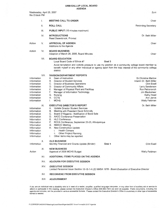Wednesday, April 25, 2007 Six O'clock PM

|                                                                                                                                                                   | I.      | <b>MEETING CALL TO ORDER</b>                                                                                                                                                                                                                                                                                                                                                                                                                                                                                    | Chair                                                                                                                                                                                    |
|-------------------------------------------------------------------------------------------------------------------------------------------------------------------|---------|-----------------------------------------------------------------------------------------------------------------------------------------------------------------------------------------------------------------------------------------------------------------------------------------------------------------------------------------------------------------------------------------------------------------------------------------------------------------------------------------------------------------|------------------------------------------------------------------------------------------------------------------------------------------------------------------------------------------|
|                                                                                                                                                                   | ₩.      | <b>ROLL CALL</b>                                                                                                                                                                                                                                                                                                                                                                                                                                                                                                | <b>Recording Secretary</b>                                                                                                                                                               |
|                                                                                                                                                                   | III.    | PUBLIC INPUT (15 minutes maximum)                                                                                                                                                                                                                                                                                                                                                                                                                                                                               |                                                                                                                                                                                          |
|                                                                                                                                                                   | IV.     | <b>INTRODUCTIONS</b><br>Reed Dasenbrock, Provost                                                                                                                                                                                                                                                                                                                                                                                                                                                                | Dr. Beth Miller                                                                                                                                                                          |
| Action                                                                                                                                                            | V.      | <b>APPROVAL OF AGENDA</b><br>Additions to the Agenda                                                                                                                                                                                                                                                                                                                                                                                                                                                            | Chair                                                                                                                                                                                    |
| Action                                                                                                                                                            | VI.     | <b>BOARD BUSINESS</b><br>Adoption of March 28, 2006, Board Minutes                                                                                                                                                                                                                                                                                                                                                                                                                                              | Chair                                                                                                                                                                                    |
|                                                                                                                                                                   | VII.    | <b>BOARD EDUCATION</b><br>Local Board Code of Ethics #7<br>Goal 3<br>Avoid temptation and outside pressure to use my position as a community college board member to<br>benefit myself or any other individual or agency apart from the total interest of the community college<br>district.                                                                                                                                                                                                                    |                                                                                                                                                                                          |
| Information<br>Information<br>Information<br>Information<br>Information<br>Information<br>Information<br>Information<br>Information                               | VIII.   | <b>DIVISION/DEPARTMENT REPORTS</b><br>Dean of instruction<br>А.<br>В.<br>Director of Student Services<br>C.<br>Director of Business Operations<br>Director of Community Affairs<br>D.<br>Manager of Physical Plant and Facilities<br>Е.<br>F.<br>Manager of Information Technology<br>G.<br>Nursing<br>Н.<br><b>CCTE</b><br><b>MCHS</b><br>I.                                                                                                                                                                   | Dr. Christine Marlow<br>Interim Dr. Beth Miller<br><b>Clint Ewell</b><br><b>Larry Sanderson</b><br>Ron Petranovich<br>Jim Blackshear<br>Kathy Head<br>Ann Jarvis<br><b>Wally Feldman</b> |
| Information<br>Information<br>Information<br>Information<br>Information<br>Information<br>Information<br>Information<br>Information<br>Information<br>Information | IX.     | <b>EXECUTIVE DIRECTOR'S REPORT</b><br><b>Update Director Student Services</b><br>A.<br>Meeting with President David Schmidly<br>В.<br>Board of Regents - Notification of Bond Sale<br>C.<br><b>AACC Conference Presentation</b><br>D.<br><b>HLC Conference</b><br>Е.,<br>F.<br>RCCA Conference, September 23-25, Albuquerque<br><b>NMACC Meeting</b><br>G.<br><b>New Construction Update</b><br>Н.<br><b>Health Careers</b><br>i.<br>ii.<br><b>Other Project Planning</b><br>Other items may be reported.<br>L. | Dr. Beth Miller                                                                                                                                                                          |
| Information                                                                                                                                                       | $X_{n}$ | <b>OLD BUSINESS</b><br>Monthly Financial and Grants Update (Binder)<br>Goal 1                                                                                                                                                                                                                                                                                                                                                                                                                                   | <b>Clint Ewell</b>                                                                                                                                                                       |
| Action                                                                                                                                                            | XI.     | <b>NEW BUSINESS</b><br>Approval of 2008 MCHS Budget                                                                                                                                                                                                                                                                                                                                                                                                                                                             | <b>Wally Feldman</b>                                                                                                                                                                     |
|                                                                                                                                                                   | XII.    | ADDITIONAL ITEMS PLACED ON THE AGENDA                                                                                                                                                                                                                                                                                                                                                                                                                                                                           |                                                                                                                                                                                          |
|                                                                                                                                                                   | XIII.   | <b>ADJOURN FOR EXECUTIVE SESSION</b>                                                                                                                                                                                                                                                                                                                                                                                                                                                                            |                                                                                                                                                                                          |
|                                                                                                                                                                   | XIV.    | <b>EXECUTIVE SESSION</b><br>Limited Personnel Issue Section 10-15-1-H.(2) NMSA 1978 - Board Evaluation of Executive Director                                                                                                                                                                                                                                                                                                                                                                                    |                                                                                                                                                                                          |
|                                                                                                                                                                   | XV.     | <b>RECONVENE FROM EXECUTIVE SESSION</b>                                                                                                                                                                                                                                                                                                                                                                                                                                                                         |                                                                                                                                                                                          |
|                                                                                                                                                                   | XVI.    | <b>ADJOURNMENT</b>                                                                                                                                                                                                                                                                                                                                                                                                                                                                                              |                                                                                                                                                                                          |

If you are an individual with a disability who is in need of a reader, amplifier, qualified language interpreter, or any other form of auxiliary aid or service to<br>attend or participate in the meeting, please contact the Ex format is needed.

Zuni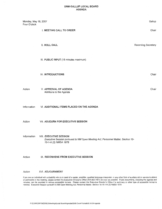#### **UNM-GALLUP LOCAL BOARD AGENDA**

Monday, May 18, 2007 Gallup Four O'clock I. MEETING CALL TO ORDER Chair II. ROLL CALL **Recording Secretary** III. PUBLIC INPUT (15 minutes maximum) Chair **IV. INTRODUCTIONS** 

Chair

Action

#### V. APPROVAL OF AGENDA Additions to the Agenda

Information VI. ADDITIONAL ITEMS PLACED ON THE AGENDA

Action VII. ADJOURN FOR EXECUTIVE SESSION

Information VIII. EXECUTIVE SESSION Executive Session pursuant to NM Open Meeting Act; Personnel Matter, Section 10-15-1-H.(2) NMSA 1978

Action IX. RECONVENE FROM EXECUTIVE SESSION

Action **XVI. ADJOURNMENT** 

If you are an individual with a disability who is in need of a reader, amplifier, qualified language interpreter, or any other form of auxiliary aid or service to attend or participate in the meeting, please contact the Executive Director's Office (505-863-7501) as soon as possible. Public documents, including the agenda and minutes, can be provided in various accessible formats. Please contact the Executive Director's Office if a summary or other type of accessible format is needed. Executive Session pursuant to NM Open Meeting Act; Personnel Matter, Section 10-15-1-H.(2) NMSA 1978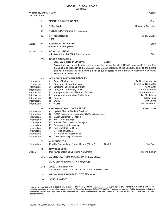Gallup

Wednesday, May 23, 2007 Six O'clock PM

|                                                                                                                                                    | l.    | <b>MEETING CALL TO ORDER</b>                                                                                                                                                                                                                                                                                                                                                                                                               | Chair                                                                                                                                                                                   |
|----------------------------------------------------------------------------------------------------------------------------------------------------|-------|--------------------------------------------------------------------------------------------------------------------------------------------------------------------------------------------------------------------------------------------------------------------------------------------------------------------------------------------------------------------------------------------------------------------------------------------|-----------------------------------------------------------------------------------------------------------------------------------------------------------------------------------------|
|                                                                                                                                                    | 11.   | <b>ROLL CALL</b>                                                                                                                                                                                                                                                                                                                                                                                                                           | <b>Recording Secretary</b>                                                                                                                                                              |
|                                                                                                                                                    | III.  | PUBLIC INPUT (15 minutes maximum)                                                                                                                                                                                                                                                                                                                                                                                                          |                                                                                                                                                                                         |
|                                                                                                                                                    | IV.   | <b>INTRODUCTIONS</b><br>None                                                                                                                                                                                                                                                                                                                                                                                                               | Dr. Beth Miller                                                                                                                                                                         |
| Action                                                                                                                                             | V.    | <b>APPROVAL OF AGENDA</b><br>Additions to the Agenda                                                                                                                                                                                                                                                                                                                                                                                       | Chair                                                                                                                                                                                   |
| Action                                                                                                                                             | VI.   | <b>BOARD BUSINESS</b><br>Adoption of April 25, 2006, Board Minutes                                                                                                                                                                                                                                                                                                                                                                         | Chair                                                                                                                                                                                   |
|                                                                                                                                                    | VII.  | <b>BOARD EDUCATION</b><br>Local Board Code of Ethics # 8<br>Goal 3<br>Accept that my primary function is to oversee the policies by which UNMG is administered; and that<br>the actual administration of the education programs is delegated to the Executive Director and her/his<br>staff while creating and maintaining a spirit of true cooperation and a mutually supportive relationship<br>with the Executive Director.             |                                                                                                                                                                                         |
| Information<br>Information<br>Information<br>Information<br>Information<br>Information<br>Information<br>Information<br>Information                | VIII. | <b>DIVISION/DEPARTMENT REPORTS</b><br>А.<br>Dean of Instruction<br><b>Director of Student Services</b><br>В.<br>С.<br>Director of Business Operations<br>D.<br><b>Director of Community Affairs</b><br>Е.<br>Manager of Physical Plant and Facilities<br>F.<br>Manager of Information Technology<br>G.<br>Nursing<br><b>CCTE</b><br>Η.<br><b>MCHS</b><br>Ι.                                                                                | <b>Dr.Christine Marlow</b><br>Interim Dr. Beth Miller<br><b>Clint Ewell</b><br>Larry Sanderson<br>Ron Petranovich<br>Jim Blackshear<br>Kathy Head<br>Ann Jarvis<br><b>Wally Feldman</b> |
| Information<br>Information<br>Information<br>Information<br>Information<br>Information<br>Information<br>Information<br>Information<br>Information | IX.   | <b>EXECUTIVE DIRECTOR'S REPORT</b><br>А.<br><b>Update Director Student Services</b><br>В.<br>RCCA Conference, September 23-25, Albuquerque<br>C.<br><b>Unser Equipment Donation</b><br>D. HED - Sale of Bonds<br>Е.<br>Met with Zuni Governor Cooeyate<br>F.<br><b>Entrepreneurship Meeting</b><br><b>New Construction Update</b><br>G.<br><b>Health Careers</b><br>İ.<br>Other Project Planning<br>ii.<br>H. Other items may be reported. | Dr. Beth Miller                                                                                                                                                                         |
| Information                                                                                                                                        | Х.    | <b>OLD BUSINESS</b><br>Monthly Financial and Grants Update (Binder)<br>Goal 1                                                                                                                                                                                                                                                                                                                                                              | <b>Clint Ewell</b>                                                                                                                                                                      |
| Action                                                                                                                                             | XI.   | <b>NEW BUSINESS</b><br>MCHS Addendum to Operating Agreement                                                                                                                                                                                                                                                                                                                                                                                | Wally Feldman                                                                                                                                                                           |
|                                                                                                                                                    | XII.  | ADDITIONAL ITEMS PLACED ON THE AGENDA                                                                                                                                                                                                                                                                                                                                                                                                      |                                                                                                                                                                                         |
|                                                                                                                                                    | XIII. | <b>ADJOURN FOR EXECUTIVE SESSION</b><br><b>EXECUTIVE SESSION</b>                                                                                                                                                                                                                                                                                                                                                                           |                                                                                                                                                                                         |
|                                                                                                                                                    |       | Limited Personnel Issue Section 10-15-1-H.(2) NMSA 1978                                                                                                                                                                                                                                                                                                                                                                                    |                                                                                                                                                                                         |
|                                                                                                                                                    | XIV.  | <b>RECONVENE FROM EXECUTIVE SESSION</b>                                                                                                                                                                                                                                                                                                                                                                                                    |                                                                                                                                                                                         |
|                                                                                                                                                    | XV.   | <b>ADJOURNMENT</b>                                                                                                                                                                                                                                                                                                                                                                                                                         |                                                                                                                                                                                         |

If you are an individual with a disability who is in need of a reader, amplifier, qualified language interpreter, or any other form of auxiliary aid or service to attend or participate in the meeting, please contact the Executive Director's Office (505-863-7501) as soon as possible. Public documents, including the agenda and minutes, can be provided in various accessible formats. Pl format is needed.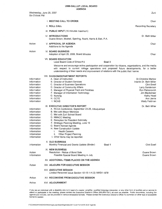Zuni

Wednesday, June 20, 2007 Six O'clock PM

|                                                                                                                                                                   | <b>I. MEETING CALL TO ORDER</b>                                                                                                                                                                                                                                                                                                                                                                                           |        | Chair                                                                                                                                                                                          |
|-------------------------------------------------------------------------------------------------------------------------------------------------------------------|---------------------------------------------------------------------------------------------------------------------------------------------------------------------------------------------------------------------------------------------------------------------------------------------------------------------------------------------------------------------------------------------------------------------------|--------|------------------------------------------------------------------------------------------------------------------------------------------------------------------------------------------------|
|                                                                                                                                                                   | <b>II. ROLL CALL</b>                                                                                                                                                                                                                                                                                                                                                                                                      |        | Recording Secretary                                                                                                                                                                            |
|                                                                                                                                                                   | III. PUBLIC INPUT (15 minutes maximum)                                                                                                                                                                                                                                                                                                                                                                                    |        |                                                                                                                                                                                                |
|                                                                                                                                                                   | <b>IV. INTRODUCTIONS</b><br>Duane Brown, Modrall, Sperling, Roehl, Harris & Sisk, P.A.                                                                                                                                                                                                                                                                                                                                    |        | Dr. Beth Miller                                                                                                                                                                                |
| Action                                                                                                                                                            | <b>V. APPROVAL OF AGENDA</b><br>Additions to the Agenda                                                                                                                                                                                                                                                                                                                                                                   |        | Chair                                                                                                                                                                                          |
| Action                                                                                                                                                            | <b>VI. BOARD BUSINESS</b><br>Adoption of April 25, 2006, Board Minutes                                                                                                                                                                                                                                                                                                                                                    |        | Chair                                                                                                                                                                                          |
|                                                                                                                                                                   | <b>VII. BOARD EDUCATION</b><br>Local Board Code of Ethics #9                                                                                                                                                                                                                                                                                                                                                              | Goal 3 |                                                                                                                                                                                                |
|                                                                                                                                                                   | Welcome and encourage active participation and cooperation by citizens, organizations, and the media<br>with respect to current college operations and proposed future developments, for a better<br>understanding of their needs and improvement of relations with the public that I serve.                                                                                                                              |        |                                                                                                                                                                                                |
| Information<br>Information<br>Information<br>Information<br>Information<br>Information<br>Information<br>Information<br>Information                               | <b>VIII. DIVISION/DEPARTMENT REPORTS</b><br>A. Dean of Instruction<br><b>B. Director of Student Services</b><br>C. Director of Business Operations<br>D. Director of Community Affairs<br>E. Manager of Physical Plant and Facilities<br>F. Manager of Information Technology<br>G. Nursing<br>H. CCTE<br>I. MCHS                                                                                                         |        | <b>Dr.Christine Marlow</b><br>Interim Dr. Beth Miller<br><b>Clint Ewell</b><br>Larry Sanderson<br>Ron Petranovich<br>Jim Blackshear<br><b>Kathy Head</b><br>Ann Jarvis<br><b>Wally Feldman</b> |
| Information<br>Information<br>Information<br>Information<br>Information<br>Information<br>Information<br>Information<br>Information<br>Information<br>Information | IX. EXECUTIVE DIRECTOR'S REPORT<br>A. RCCA Conference, September 23-25, Albuquerque<br>B. Met with Mayor Mendoza<br>C. Met with Zuni School Board<br>D. NMACC Meeting<br>E. Reception for President Schmidly<br>F. Strategic Planning Meeting, June 19<br>G. Board Retreat Agenda<br>H. New Construction Update<br><b>Health Careers</b><br>i.<br><b>Other Project Planning</b><br>ii.<br>I. Other items may be reported. |        | Dr. Beth Miller                                                                                                                                                                                |
| Information                                                                                                                                                       | <b>X. OLD BUSINESS</b><br>Monthly Financial and Grants Update (Binder)                                                                                                                                                                                                                                                                                                                                                    | Goal 1 | <b>Clint Ewell</b>                                                                                                                                                                             |
| Action<br>Information                                                                                                                                             | <b>XI. NEW BUSINESS</b><br>Resolution - Notice of Bond Sale<br>Possible Special Board Meeting in July                                                                                                                                                                                                                                                                                                                     |        | Duane Brown<br>Duane Brown                                                                                                                                                                     |
|                                                                                                                                                                   | <b>XII. ADDITIONAL ITEMS PLACED ON THE AGENDA</b>                                                                                                                                                                                                                                                                                                                                                                         |        |                                                                                                                                                                                                |
| Action                                                                                                                                                            | <b>XIII. ADJOURN FOR EXECUTIVE SESSION</b>                                                                                                                                                                                                                                                                                                                                                                                |        |                                                                                                                                                                                                |
|                                                                                                                                                                   | XIV. EXECUTIVE SESSION<br>Limited Personnel Issue Section 10-15-1-H.(2) NMSA 1978                                                                                                                                                                                                                                                                                                                                         |        |                                                                                                                                                                                                |
| Action                                                                                                                                                            | <b>XV. RECONVENE FROM EXECUTIVE SESSION</b>                                                                                                                                                                                                                                                                                                                                                                               |        |                                                                                                                                                                                                |
| Action                                                                                                                                                            | <b>XVI. ADJOURNMENT</b>                                                                                                                                                                                                                                                                                                                                                                                                   |        |                                                                                                                                                                                                |
|                                                                                                                                                                   |                                                                                                                                                                                                                                                                                                                                                                                                                           |        |                                                                                                                                                                                                |

If you are an individual with a disability who is in need of a reader, amplifier, qualified language interpreter, or any other form of auxiliary aid or service to attend or participate in the meeting, please contact the Executive Director's Office (505-863-7501) as soon as possible. Public documents, including the agenda and minutes, can be provided in various accessible formats. Please contact the Executive Director's Office if a summary or other type of accessible format is needed.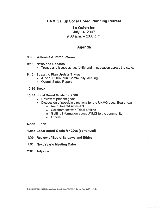# **UNM Gallup Local Board Planning Retreat**

La Quinta Inn July 14, 2007  $9:00$  a.m.  $-2:00$  p.m.

## **Agenda**

### 9:00 Welcome & Introductions

#### 9:15 News and Updates

• Trends and issues across UNM and in education across the state.

#### 9:45 Strategic Plan Update Status

- June 19, 2007 Zuni Community Meeting
- Overall Status Report

### 10:30 Break

### 10:45 Local Board Goals for 2008

- Review of present goals
- Discussion of possible directions for the UNMG Local Board, e.g.,
	- o Recruitment/Enrollment
	- o Collaboration with Tribal entities
	- o Getting information about UNMG to the community
	- o Others

#### Noon Lunch

- 12:45 Local Board Goals for 2008 (continued)
- 1:30 Review of Board By-Laws and Ethics
- 1:50 Next Year's Meeting Dates
- 2:00 Adjourn

F ICORRESPONDENCE\Meetings\Local Board\Retreats\2007\2007 Summer\Agenda 07 14 07 doc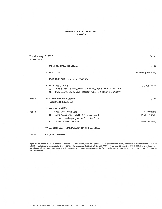#### UNM-GALLUP LOCAL BOARD **AGENDA**

| Six O'clock PM | Tuesday, July 17, 2007                                                                                                                                                                     | Gallup                                                 |
|----------------|--------------------------------------------------------------------------------------------------------------------------------------------------------------------------------------------|--------------------------------------------------------|
|                | <b>I. MEETING CALL TO ORDER</b>                                                                                                                                                            | Chair                                                  |
|                | <b>II. ROLL CALL</b>                                                                                                                                                                       | <b>Recording Secretary</b>                             |
|                | III. PUBLIC INPUT (15 minutes maximum)                                                                                                                                                     |                                                        |
|                | <b>IV. INTRODUCTIONS</b><br>Duane Brown, Attorney, Modrall, Sperling, Roehl, Harris & Sisk, P.A.<br>$A_{-}$<br>Al Clemmons, Senior Vice President, George K. Baum & Company<br>$B_{\cdot}$ | Dr. Beth Miller                                        |
| Action         | <b>V. APPROVAL OF AGENDA</b><br>Additions to the Agenda                                                                                                                                    | Chair                                                  |
| Action         | <b>VI. NEW BUSINESS</b><br>A. Resolution - Bond Sale<br>B. Board Appointment to MCHS Advisory Board<br>Next meeting August 16, CH119 at 3 p.m.<br>i.<br>C. Update on Board Retreat         | Al Clemmons<br>Wally Feldman<br><b>Theresa Dowling</b> |
|                | <b>VII. ADDITIONAL ITEMS PLACED ON THE AGENDA</b>                                                                                                                                          |                                                        |
| Action         | <b>VIII. ADJOURNMENT</b>                                                                                                                                                                   |                                                        |

If you are an individual with a disability who is in need of a reader, amplifier, qualified language interpreter, or any other form of auxiliary aid or service to attend or participate in the meeting, please contact the Ex agenda and minutes, can be provided in various accessible formats. Please contact the Executive Director's Office if a summary or other type of accessible format is needed.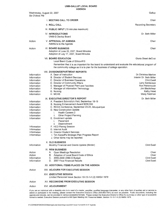Gallup

Wednesday, August 22, 2007  $\epsilon$ 

| Six O'clock PM                                                                                                                                                    |                                                                                                                                                                                                                                                                                                                                                                                                                                                                                                                       |                                                                                                                                                                     |
|-------------------------------------------------------------------------------------------------------------------------------------------------------------------|-----------------------------------------------------------------------------------------------------------------------------------------------------------------------------------------------------------------------------------------------------------------------------------------------------------------------------------------------------------------------------------------------------------------------------------------------------------------------------------------------------------------------|---------------------------------------------------------------------------------------------------------------------------------------------------------------------|
|                                                                                                                                                                   | I. MEETING CALL TO ORDER                                                                                                                                                                                                                                                                                                                                                                                                                                                                                              | Chair                                                                                                                                                               |
|                                                                                                                                                                   | <b>II. ROLL CALL</b>                                                                                                                                                                                                                                                                                                                                                                                                                                                                                                  | <b>Recording Secretary</b>                                                                                                                                          |
|                                                                                                                                                                   | III. PUBLIC INPUT (15 minutes maximum)                                                                                                                                                                                                                                                                                                                                                                                                                                                                                |                                                                                                                                                                     |
|                                                                                                                                                                   | IV. INTRODUCTIONS<br><b>UNM-G Devlop Board</b>                                                                                                                                                                                                                                                                                                                                                                                                                                                                        | Dr. Beth Miller                                                                                                                                                     |
| Action                                                                                                                                                            | <b>V. APPROVAL OF AGENDA</b><br>Additions to the Agenda                                                                                                                                                                                                                                                                                                                                                                                                                                                               | Chair                                                                                                                                                               |
| Action                                                                                                                                                            | <b>VI. BOARD BUSINESS</b><br>Adoption of June 20, 2007, Board Minutes<br>Adoption of July 17, 2007, Board Minutes                                                                                                                                                                                                                                                                                                                                                                                                     | Chair                                                                                                                                                               |
|                                                                                                                                                                   | <b>VII. BOARD EDUCATION</b><br>Local Board Code of Ethics #10                                                                                                                                                                                                                                                                                                                                                                                                                                                         | Gloria Skeet deCruz                                                                                                                                                 |
|                                                                                                                                                                   | Remember that it is as important for the board to understand and evaluate the educational program of<br>the community college as it is to plan for the business of college operation.                                                                                                                                                                                                                                                                                                                                 |                                                                                                                                                                     |
|                                                                                                                                                                   | VIII. DIVISION/DEPARTMENT REPORTS                                                                                                                                                                                                                                                                                                                                                                                                                                                                                     |                                                                                                                                                                     |
| Information<br>Information<br>Information<br>Information<br>Information<br>Information<br>Information<br>Information                                              | A. Dean of Instruction<br><b>B. Director of Student Services</b><br>C. Director of Business Operations<br>D. Director of Community Affairs<br>E. Manager of Physical Plant and Facilities<br>F. Manager of Information Technology<br>G. Nursing<br>H. MCHS                                                                                                                                                                                                                                                            | Dr. Christine Marlow<br>Interim Dr. Beth Miller<br><b>Clint Ewell</b><br>Larry Sanderson<br>Ron Petranovich<br>Jim Blackshear<br>Kathy Head<br><b>Wally Feldman</b> |
| Information<br>Information<br>Information<br>Information<br>Information<br>Information<br>Information<br>Information<br>Information<br>Information<br>Information | IX. EXECUTIVE DIRECTOR'S REPORT<br>A. President Schmidly's Visit, September 18-19<br>B. Nursing Enhancement Award \$230,000<br>C. RCCA Conference, September 23-25, Albuquerque<br>D. New Construction Update<br><b>Health Careers 2</b><br>i.<br>ü.<br>Other Project Planning<br>E. Enrollment update<br>Placement<br>i.<br>ii.<br>Disenrollment<br>F. HED Planng Session<br>G. Internal Audit<br>H. Director Student Services<br>I. Tim Karpoff's Strategic Plan Progress Report<br>J. Other items may be reported. | Dr. Beth Miller                                                                                                                                                     |
| Information                                                                                                                                                       | <b>X. OLD BUSINESS</b><br>Monthly Financial and Grants Update (Binder)                                                                                                                                                                                                                                                                                                                                                                                                                                                | <b>Clint Ewell</b>                                                                                                                                                  |
| Action<br>Action<br>Information<br>Information                                                                                                                    | <b>XI. NEW BUSINESS</b><br>A. Open Meetings Resolution<br>B. Adoption of Local Board Code of Ethics<br>C. 2008-2009 UNM-G Budget<br>2007 Final Financial Results<br>D.                                                                                                                                                                                                                                                                                                                                                | Chair<br>Chair<br><b>Clint Ewell</b><br><b>Clint Ewell</b>                                                                                                          |
|                                                                                                                                                                   | XII. ADDITIONAL ITEMS PLACED ON THE AGENDA                                                                                                                                                                                                                                                                                                                                                                                                                                                                            |                                                                                                                                                                     |
| Action                                                                                                                                                            | XIII. ADJOURN FOR EXECUTIVE SESSION                                                                                                                                                                                                                                                                                                                                                                                                                                                                                   |                                                                                                                                                                     |
|                                                                                                                                                                   | XIV. <i>EXECUTIVE SESSION</i><br>Limited Personnel Issue Section 10-15-1-H.(2) NMSA 1978                                                                                                                                                                                                                                                                                                                                                                                                                              |                                                                                                                                                                     |
| Action                                                                                                                                                            | <b>XV. RECONVENE FROM EXECUTIVE SESSION</b>                                                                                                                                                                                                                                                                                                                                                                                                                                                                           |                                                                                                                                                                     |
| Action                                                                                                                                                            | <b>XVI. ADJOURNMENT</b>                                                                                                                                                                                                                                                                                                                                                                                                                                                                                               |                                                                                                                                                                     |
|                                                                                                                                                                   |                                                                                                                                                                                                                                                                                                                                                                                                                                                                                                                       |                                                                                                                                                                     |

If you are an individual with a disability who is in need of a reader, amplifier, qualified language interpreter, or any other form of auxiliary aid or service to attend or participate in the meeting, please contact the Executive Director's Office (505-863-7501) as soon as possible. Public documents, including the agenda and minutes, can be provided in various accessible formats. Please contact the Executive Director's Office if a summary or other type of accessible format is needed. Executive Session pursuant to NM Open Meeting Act; Personnel Matter, Section 10-15-1-H.(2) NMSA 1978.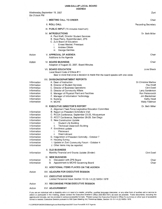#### **UNM-GALLUP LOCAL BOARD AGENDA**

Zuni

Wednesday, September 19, 2007 Six O'clock PM

| <b>SIX O'CIOCK PIVE</b>                                                                                                                                                                         |                                                                                                                                                                                                                                                                                                                                                                                                                                                                                                                                                                                               |                                                                                                                                                        |
|-------------------------------------------------------------------------------------------------------------------------------------------------------------------------------------------------|-----------------------------------------------------------------------------------------------------------------------------------------------------------------------------------------------------------------------------------------------------------------------------------------------------------------------------------------------------------------------------------------------------------------------------------------------------------------------------------------------------------------------------------------------------------------------------------------------|--------------------------------------------------------------------------------------------------------------------------------------------------------|
|                                                                                                                                                                                                 | <b>I. MEETING CALL TO ORDER</b>                                                                                                                                                                                                                                                                                                                                                                                                                                                                                                                                                               | Chair                                                                                                                                                  |
|                                                                                                                                                                                                 | <b>II. ROLL CALL</b>                                                                                                                                                                                                                                                                                                                                                                                                                                                                                                                                                                          | <b>Recording Secretary</b>                                                                                                                             |
|                                                                                                                                                                                                 | III. PUBLIC INPUT (15 minutes maximum)                                                                                                                                                                                                                                                                                                                                                                                                                                                                                                                                                        |                                                                                                                                                        |
|                                                                                                                                                                                                 | <b>IV. INTRODUCTIONS</b><br>A. Paul Kraft, Director Student Services<br>B. Kaye Peery, Superintendent, ZPS<br>C. Zuni Board of Education<br>i.<br>Ernest Mackel, President<br>ii.<br><b>Andrew Othole</b><br>George DeVries<br>ill.                                                                                                                                                                                                                                                                                                                                                           | Dr. Beth Miller                                                                                                                                        |
| Action                                                                                                                                                                                          | V. APPROVAL OF AGENDA<br>Additions to the Agenda                                                                                                                                                                                                                                                                                                                                                                                                                                                                                                                                              | Chair                                                                                                                                                  |
| Action                                                                                                                                                                                          | <b>VI. BOARD BUSINESS</b><br>Adoption of August 22, 2007, Board Minutes                                                                                                                                                                                                                                                                                                                                                                                                                                                                                                                       | Chair                                                                                                                                                  |
|                                                                                                                                                                                                 | <b>VII. BOARD EDUCATION</b><br>Local Board Code of Ethics #11<br>Bear in mind that once a decision is made that the board speaks with one voice.                                                                                                                                                                                                                                                                                                                                                                                                                                              | June Shack                                                                                                                                             |
| Information<br>Information<br>Information<br>Information<br>Information<br>Information<br>Information<br>Information                                                                            | <b>VIII. DIVISION/DEPARTMENT REPORTS</b><br>A. Dean of Instruction<br><b>B. Director of Student Services</b><br>C. Director of Business Operations<br>D. Director of Community Affairs<br>E. Manager of Physical Plant and Facilities<br>F. Manager of Information Technology<br>G. Nursing<br>H. MCHS                                                                                                                                                                                                                                                                                        | Dr. Christine Marlow<br>Paul Kraft<br><b>Clint Ewell</b><br>Larry Sanderson<br>Ron Petranovich<br>Jim Blackshear<br>Kathy Head<br><b>Wally Feldman</b> |
| Information<br>Information<br>Information<br>Information<br>Information<br>Information<br>Information<br>Information<br>Information<br>Information<br>Information<br>Information<br>Information | IX. EXECUTIVE DIRECTOR'S REPORT<br>A. Alignment Task Force Legislative Education Committee<br>B. Report on President Schmidly's Visit<br>C. RCCA Conference, September 23-25, Albuquerque<br>D. ACCT Conference, September 26-29, San Diego<br>E. New Construction Update<br><b>Student Life Building</b><br>İ.<br><b>Technical Classroom Building</b><br>ii.<br>F. Enrollment update<br>Placement<br>i.<br>ii.<br>Disenrollment<br>G. Inaguration of President Schmidly - October 7<br>H. Housing Survey<br>I. Update on Zuni Community Forum - October 4<br>J. Other items may be reported. | Dr. Beth Miller                                                                                                                                        |
| Information                                                                                                                                                                                     | <b>X. OLD BUSINESS</b><br>Monthly Financial and Grants Update (Binder)                                                                                                                                                                                                                                                                                                                                                                                                                                                                                                                        | <b>Clint Ewell</b>                                                                                                                                     |
| Information<br>Information                                                                                                                                                                      | <b>XI. NEW BUSINESS</b><br>Discussion with ZPS Board<br>А.<br>Appointment to MCHS Governing Board<br>В.                                                                                                                                                                                                                                                                                                                                                                                                                                                                                       | Chair<br>Chair                                                                                                                                         |
|                                                                                                                                                                                                 | XII. ADDITIONAL ITEMS PLACED ON THE AGENDA                                                                                                                                                                                                                                                                                                                                                                                                                                                                                                                                                    |                                                                                                                                                        |
| Action                                                                                                                                                                                          | <b>XIII. ADJOURN FOR EXECUTIVE SESSION</b>                                                                                                                                                                                                                                                                                                                                                                                                                                                                                                                                                    |                                                                                                                                                        |
|                                                                                                                                                                                                 | <b>XIV. EXECUTIVE SESSION</b><br>Limited Personnel Issue Section 10-15-1-H.(2) NMSA 1978                                                                                                                                                                                                                                                                                                                                                                                                                                                                                                      |                                                                                                                                                        |
| Action                                                                                                                                                                                          | <b>XV. RECONVENE FROM EXECUTIVE SESSION</b>                                                                                                                                                                                                                                                                                                                                                                                                                                                                                                                                                   |                                                                                                                                                        |
| Action                                                                                                                                                                                          | <b>XVI. ADJOURNMENT</b>                                                                                                                                                                                                                                                                                                                                                                                                                                                                                                                                                                       |                                                                                                                                                        |
|                                                                                                                                                                                                 | individual with a dieability who is in need of a reader, amplifier, qualified language interpr                                                                                                                                                                                                                                                                                                                                                                                                                                                                                                |                                                                                                                                                        |

If you are an individual with a disability who is in need of a reader, amplifier, qualified language interpreter, or any other form of auxiliary aid or service to attend or participate in the meeting, please contact the Executive Director's Office (505-863-7501) as soon as possible. Public documents, including the agenda and minutes, can be provided in various accessible formats. Please contact the Executive Director's Office if a summary or other type of accessible format is needed. Executive Session pursuant to NM Open Meeting Act; Personnel Matter, Section 10-15-1-H.(2) NMSA 1978.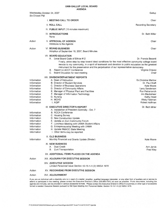Gallup

Wednesday, October 24, 2007 Six O'clock PM

|                                                                                                                                     | <b>I. MEETING CALL TO ORDER</b>                                                                                                                                                                                                                                                                                                                                                                                                                    | Chair                                                                                                                                                                       |
|-------------------------------------------------------------------------------------------------------------------------------------|----------------------------------------------------------------------------------------------------------------------------------------------------------------------------------------------------------------------------------------------------------------------------------------------------------------------------------------------------------------------------------------------------------------------------------------------------|-----------------------------------------------------------------------------------------------------------------------------------------------------------------------------|
|                                                                                                                                     | <b>II. ROLL CALL</b>                                                                                                                                                                                                                                                                                                                                                                                                                               | <b>Recording Secretary</b>                                                                                                                                                  |
|                                                                                                                                     | III. PUBLIC INPUT (15 minutes maximum)                                                                                                                                                                                                                                                                                                                                                                                                             |                                                                                                                                                                             |
|                                                                                                                                     | <b>IV. INTRODUCTIONS</b><br>None                                                                                                                                                                                                                                                                                                                                                                                                                   | Dr. Beth Miller                                                                                                                                                             |
| Action                                                                                                                              | V. APPROVAL OF AGENDA<br>Additions to the Agenda                                                                                                                                                                                                                                                                                                                                                                                                   | Chair                                                                                                                                                                       |
| Action                                                                                                                              | <b>VI. BOARD BUSINESS</b><br>Adoption of September 19, 2007, Board Minutes                                                                                                                                                                                                                                                                                                                                                                         | Chair                                                                                                                                                                       |
|                                                                                                                                     | <b>VII. BOARD EDUCATION</b><br>A. Local Board Code of Ethics #12<br>Finally, strive step by step toward ideal conditions for the most effective community college board<br>service to my community, in a spirit of teamwork and devotion to public education as the greatest<br>instrument for the preservation and the perpetuation of our representative democracy.<br>Report on ACCT Conference<br>В.<br>C.<br>Board Education for next meeting | Dr. Francis Becenti<br>Virginia Chavez<br>Chair                                                                                                                             |
| Information<br>Information<br>Information<br>Information<br>Information<br>Information<br>Information<br>Information<br>Information | VIII. DIVISION/DEPARTMENT REPORTS<br>A. Dean of Instruction<br><b>B. Director of Student Services</b><br>C. Director of Business Operations<br>D. Director of Community Affairs<br>E. Manager of Physical Plant and Facilities<br>F. Manager of Information Technology<br>G. Nursing<br>H. MCHS<br>I. AQIP                                                                                                                                         | <b>Dr. Christine Marlow</b><br>Dr. Paul Kraft<br>Kate Moore<br>Larry Sanderson<br>Ron Petranovich<br>Jim Blackshear<br>Kathy Head<br><b>Wally Feldman</b><br>Robert Hoffman |
| Information<br>Information<br>Information<br>Information<br>Information<br>Information<br>Information<br>Information                | IX. EXECUTIVE DIRECTOR'S REPORT<br>A. Instalaltion of President Schmidly - Oct. 7<br><b>B. RCCA Conference</b><br>C. Housing Survey<br>D. New Construction Update<br>E. Update on Zuni Community Forum<br>F. Luncheon Meeting with UNMA Student Affairs<br>G. Entrepreneurship Meeting with UNMA<br>H. Update NMACC State Meeting<br>I. Other items may be reported.                                                                               | Dr. Beth Miller                                                                                                                                                             |
| Information                                                                                                                         | <b>X. OLD BUSINESS</b><br>Monthly Financial and Grants Update (Binder)                                                                                                                                                                                                                                                                                                                                                                             | Kate Moore                                                                                                                                                                  |
|                                                                                                                                     | <b>XI. NEW BUSINESS</b><br><b>Dual Credit</b><br>А.<br>Zuni Transportation<br>В.                                                                                                                                                                                                                                                                                                                                                                   | Ann Jarvis<br>Fred Wey                                                                                                                                                      |
|                                                                                                                                     | XII. ADDITIONAL ITEMS PLACED ON THE AGENDA                                                                                                                                                                                                                                                                                                                                                                                                         |                                                                                                                                                                             |
| Action                                                                                                                              | XIII. ADJOURN FOR EXECUTIVE SESSION                                                                                                                                                                                                                                                                                                                                                                                                                |                                                                                                                                                                             |
|                                                                                                                                     | <b>XIV. EXECUTIVE SESSION</b><br>Limited Personnel Issue Section 10-15-1-H.(2) NMSA 1978                                                                                                                                                                                                                                                                                                                                                           |                                                                                                                                                                             |
| Action                                                                                                                              | <b>XV. RECONVENE FROM EXECUTIVE SESSION</b>                                                                                                                                                                                                                                                                                                                                                                                                        |                                                                                                                                                                             |
| Action                                                                                                                              | <b>XVI. ADJOURNMENT</b>                                                                                                                                                                                                                                                                                                                                                                                                                            |                                                                                                                                                                             |

If you are an individual with a disability who is in need of a reader, amplifier, qualified language interpreter, or any other form of auxiliary aid or service to attend or participate in the meeting, please contact the Executive Director's Office (505-863-7501) as soon as possible. Public documents, including the agenda and minutes, can be provided in various accessible formats. Please contact the Executive Director's Office if a summary or other type of accessible format is needed. Executive Session pursuant to NM Open Meeting Act, Personnel Matter, Section 10-15-1-H.(2) NMSA 1978.